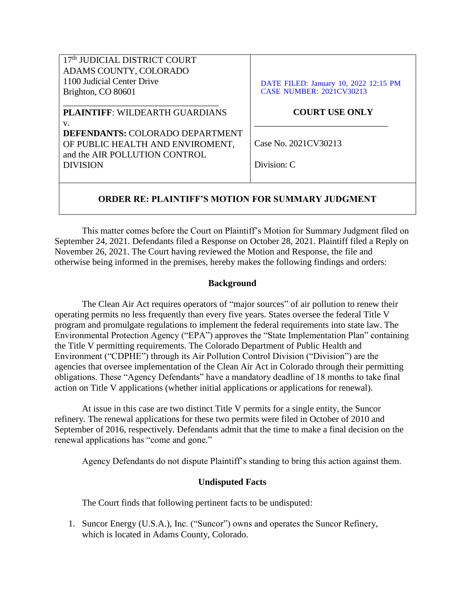| 17th JUDICIAL DISTRICT COURT<br>ADAMS COUNTY, COLORADO<br>1100 Judicial Center Drive                        | DATE FILED: January 10, 2022 12:15 PM |
|-------------------------------------------------------------------------------------------------------------|---------------------------------------|
| Brighton, CO 80601                                                                                          | <b>CASE NUMBER: 2021CV30213</b>       |
| <b>PLAINTIFF: WILDEARTH GUARDIANS</b><br>V.                                                                 | <b>COURT USE ONLY</b>                 |
| <b>DEFENDANTS: COLORADO DEPARTMENT</b><br>OF PUBLIC HEALTH AND ENVIROMENT,<br>and the AIR POLLUTION CONTROL | Case No. 2021CV30213                  |
| <b>DIVISION</b>                                                                                             | Division: C                           |

# **ORDER RE: PLAINTIFF'S MOTION FOR SUMMARY JUDGMENT**

This matter comes before the Court on Plaintiff's Motion for Summary Judgment filed on September 24, 2021. Defendants filed a Response on October 28, 2021. Plaintiff filed a Reply on November 26, 2021. The Court having reviewed the Motion and Response, the file and otherwise being informed in the premises, hereby makes the following findings and orders:

## **Background**

The Clean Air Act requires operators of "major sources" of air pollution to renew their operating permits no less frequently than every five years. States oversee the federal Title V program and promulgate regulations to implement the federal requirements into state law. The Environmental Protection Agency ("EPA") approves the "State Implementation Plan" containing the Title V permitting requirements. The Colorado Department of Public Health and Environment ("CDPHE") through its Air Pollution Control Division ("Division") are the agencies that oversee implementation of the Clean Air Act in Colorado through their permitting obligations. These "Agency Defendants" have a mandatory deadline of 18 months to take final action on Title V applications (whether initial applications or applications for renewal).

At issue in this case are two distinct Title V permits for a single entity, the Suncor refinery. The renewal applications for these two permits were filed in October of 2010 and September of 2016, respectively. Defendants admit that the time to make a final decision on the renewal applications has "come and gone."

Agency Defendants do not dispute Plaintiff's standing to bring this action against them.

### **Undisputed Facts**

The Court finds that following pertinent facts to be undisputed:

1. Suncor Energy (U.S.A.), Inc. ("Suncor") owns and operates the Suncor Refinery, which is located in Adams County, Colorado.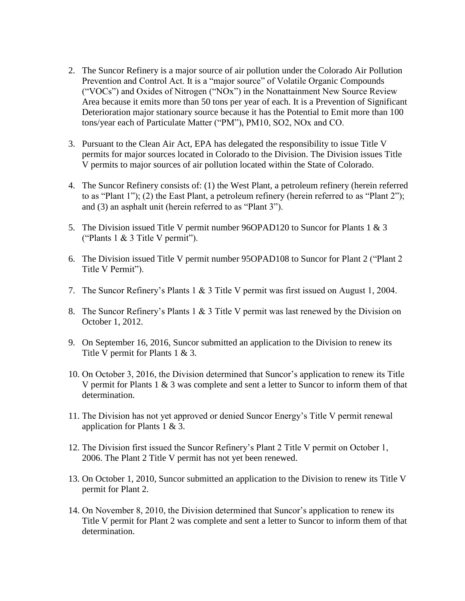- 2. The Suncor Refinery is a major source of air pollution under the Colorado Air Pollution Prevention and Control Act. It is a "major source" of Volatile Organic Compounds ("VOCs") and Oxides of Nitrogen ("NOx") in the Nonattainment New Source Review Area because it emits more than 50 tons per year of each. It is a Prevention of Significant Deterioration major stationary source because it has the Potential to Emit more than 100 tons/year each of Particulate Matter ("PM"), PM10, SO2, NOx and CO.
- 3. Pursuant to the Clean Air Act, EPA has delegated the responsibility to issue Title V permits for major sources located in Colorado to the Division. The Division issues Title V permits to major sources of air pollution located within the State of Colorado.
- 4. The Suncor Refinery consists of: (1) the West Plant, a petroleum refinery (herein referred to as "Plant 1"); (2) the East Plant, a petroleum refinery (herein referred to as "Plant 2"); and (3) an asphalt unit (herein referred to as "Plant 3").
- 5. The Division issued Title V permit number 96OPAD120 to Suncor for Plants 1 & 3 ("Plants 1 & 3 Title V permit").
- 6. The Division issued Title V permit number 95OPAD108 to Suncor for Plant 2 ("Plant 2 Title V Permit").
- 7. The Suncor Refinery's Plants 1 & 3 Title V permit was first issued on August 1, 2004.
- 8. The Suncor Refinery's Plants 1 & 3 Title V permit was last renewed by the Division on October 1, 2012.
- 9. On September 16, 2016, Suncor submitted an application to the Division to renew its Title V permit for Plants 1 & 3.
- 10. On October 3, 2016, the Division determined that Suncor's application to renew its Title V permit for Plants 1 & 3 was complete and sent a letter to Suncor to inform them of that determination.
- 11. The Division has not yet approved or denied Suncor Energy's Title V permit renewal application for Plants 1 & 3.
- 12. The Division first issued the Suncor Refinery's Plant 2 Title V permit on October 1, 2006. The Plant 2 Title V permit has not yet been renewed.
- 13. On October 1, 2010, Suncor submitted an application to the Division to renew its Title V permit for Plant 2.
- 14. On November 8, 2010, the Division determined that Suncor's application to renew its Title V permit for Plant 2 was complete and sent a letter to Suncor to inform them of that determination.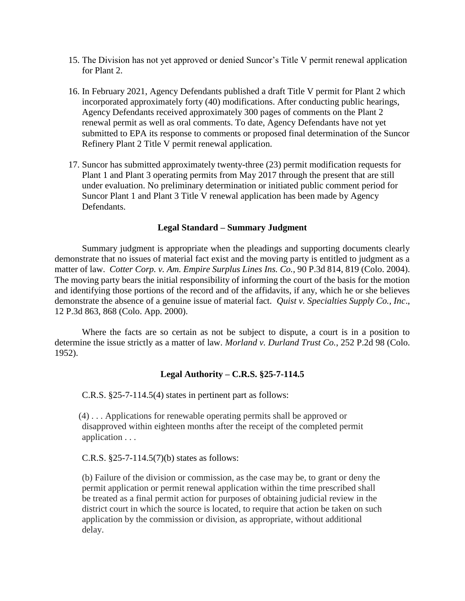- 15. The Division has not yet approved or denied Suncor's Title V permit renewal application for Plant 2.
- 16. In February 2021, Agency Defendants published a draft Title V permit for Plant 2 which incorporated approximately forty (40) modifications. After conducting public hearings, Agency Defendants received approximately 300 pages of comments on the Plant 2 renewal permit as well as oral comments. To date, Agency Defendants have not yet submitted to EPA its response to comments or proposed final determination of the Suncor Refinery Plant 2 Title V permit renewal application.
- 17. Suncor has submitted approximately twenty-three (23) permit modification requests for Plant 1 and Plant 3 operating permits from May 2017 through the present that are still under evaluation. No preliminary determination or initiated public comment period for Suncor Plant 1 and Plant 3 Title V renewal application has been made by Agency Defendants.

### **Legal Standard – Summary Judgment**

Summary judgment is appropriate when the pleadings and supporting documents clearly demonstrate that no issues of material fact exist and the moving party is entitled to judgment as a matter of law. *Cotter Corp. v. Am. Empire Surplus Lines Ins. Co.,* 90 P.3d 814, 819 (Colo. 2004). The moving party bears the initial responsibility of informing the court of the basis for the motion and identifying those portions of the record and of the affidavits, if any, which he or she believes demonstrate the absence of a genuine issue of material fact. *Quist v. Specialties Supply Co., Inc*., 12 P.3d 863, 868 (Colo. App. 2000).

Where the facts are so certain as not be subject to dispute, a court is in a position to determine the issue strictly as a matter of law. *Morland v. Durland Trust Co.*, 252 P.2d 98 (Colo. 1952).

### **Legal Authority – C.R.S. §25-7-114.5**

C.R.S. §25-7-114.5(4) states in pertinent part as follows:

(4) . . . Applications for renewable operating permits shall be approved or disapproved within eighteen months after the receipt of the completed permit application . . .

C.R.S. §25-7-114.5(7)(b) states as follows:

(b) Failure of the division or commission, as the case may be, to grant or deny the permit application or permit renewal application within the time prescribed shall be treated as a final permit action for purposes of obtaining judicial review in the district court in which the source is located, to require that action be taken on such application by the commission or division, as appropriate, without additional delay.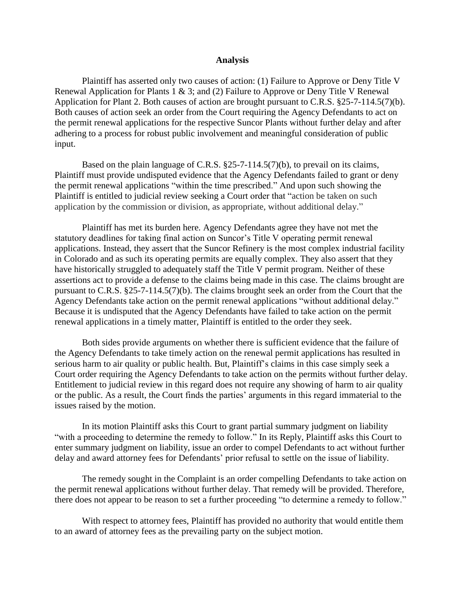#### **Analysis**

Plaintiff has asserted only two causes of action: (1) Failure to Approve or Deny Title V Renewal Application for Plants 1 & 3; and (2) Failure to Approve or Deny Title V Renewal Application for Plant 2. Both causes of action are brought pursuant to C.R.S. §25-7-114.5(7)(b). Both causes of action seek an order from the Court requiring the Agency Defendants to act on the permit renewal applications for the respective Suncor Plants without further delay and after adhering to a process for robust public involvement and meaningful consideration of public input.

Based on the plain language of C.R.S. §25-7-114.5(7)(b), to prevail on its claims, Plaintiff must provide undisputed evidence that the Agency Defendants failed to grant or deny the permit renewal applications "within the time prescribed." And upon such showing the Plaintiff is entitled to judicial review seeking a Court order that "action be taken on such application by the commission or division, as appropriate, without additional delay."

Plaintiff has met its burden here. Agency Defendants agree they have not met the statutory deadlines for taking final action on Suncor's Title V operating permit renewal applications. Instead, they assert that the Suncor Refinery is the most complex industrial facility in Colorado and as such its operating permits are equally complex. They also assert that they have historically struggled to adequately staff the Title V permit program. Neither of these assertions act to provide a defense to the claims being made in this case. The claims brought are pursuant to C.R.S. §25-7-114.5(7)(b). The claims brought seek an order from the Court that the Agency Defendants take action on the permit renewal applications "without additional delay." Because it is undisputed that the Agency Defendants have failed to take action on the permit renewal applications in a timely matter, Plaintiff is entitled to the order they seek.

Both sides provide arguments on whether there is sufficient evidence that the failure of the Agency Defendants to take timely action on the renewal permit applications has resulted in serious harm to air quality or public health. But, Plaintiff's claims in this case simply seek a Court order requiring the Agency Defendants to take action on the permits without further delay. Entitlement to judicial review in this regard does not require any showing of harm to air quality or the public. As a result, the Court finds the parties' arguments in this regard immaterial to the issues raised by the motion.

In its motion Plaintiff asks this Court to grant partial summary judgment on liability "with a proceeding to determine the remedy to follow." In its Reply, Plaintiff asks this Court to enter summary judgment on liability, issue an order to compel Defendants to act without further delay and award attorney fees for Defendants' prior refusal to settle on the issue of liability.

The remedy sought in the Complaint is an order compelling Defendants to take action on the permit renewal applications without further delay. That remedy will be provided. Therefore, there does not appear to be reason to set a further proceeding "to determine a remedy to follow."

With respect to attorney fees, Plaintiff has provided no authority that would entitle them to an award of attorney fees as the prevailing party on the subject motion.